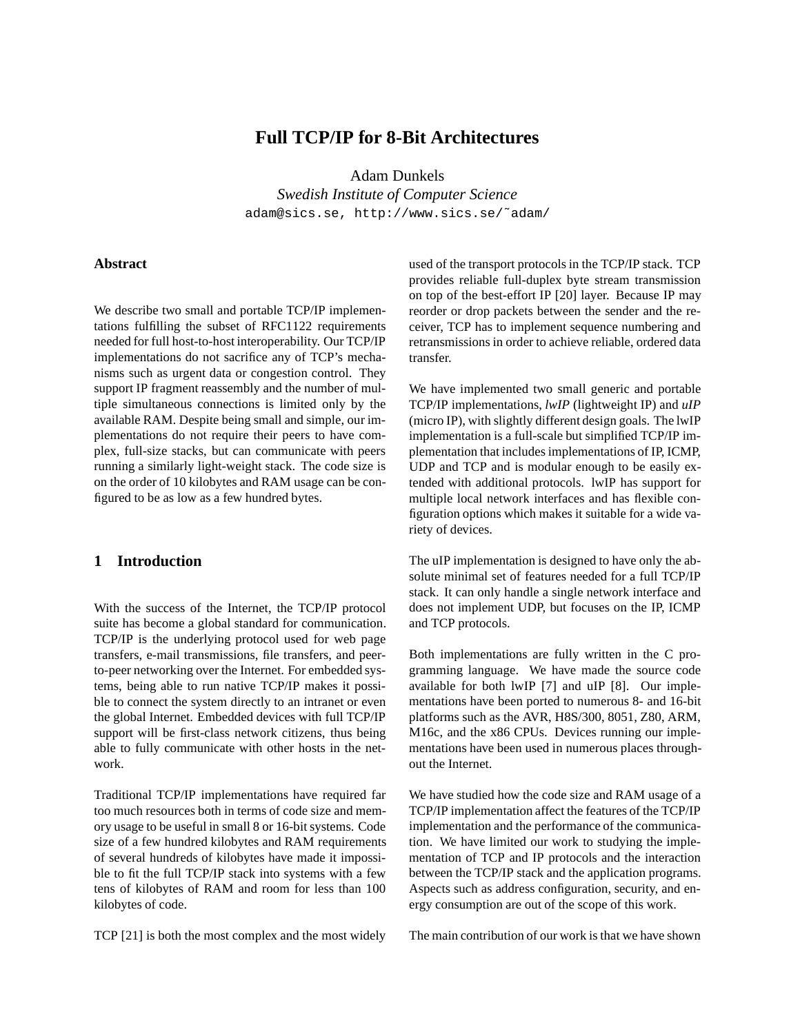# **Full TCP/IP for 8-Bit Architectures**

Adam Dunkels

*Swedish Institute of Computer Science* adam@sics.se, http://www.sics.se/˜adam/

## **Abstract**

We describe two small and portable TCP/IP implementations fulfilling the subset of RFC1122 requirements needed for full host-to-host interoperability. Our TCP/IP implementations do not sacrifice any of TCP's mechanisms such as urgent data or congestion control. They support IP fragment reassembly and the number of multiple simultaneous connections is limited only by the available RAM. Despite being small and simple, our implementations do not require their peers to have complex, full-size stacks, but can communicate with peers running a similarly light-weight stack. The code size is on the order of 10 kilobytes and RAM usage can be configured to be as low as a few hundred bytes.

## **1 Introduction**

With the success of the Internet, the TCP/IP protocol suite has become a global standard for communication. TCP/IP is the underlying protocol used for web page transfers, e-mail transmissions, file transfers, and peerto-peer networking over the Internet. For embedded systems, being able to run native TCP/IP makes it possible to connect the system directly to an intranet or even the global Internet. Embedded devices with full TCP/IP support will be first-class network citizens, thus being able to fully communicate with other hosts in the network.

Traditional TCP/IP implementations have required far too much resources both in terms of code size and memory usage to be useful in small 8 or 16-bit systems. Code size of a few hundred kilobytes and RAM requirements of several hundreds of kilobytes have made it impossible to fit the full TCP/IP stack into systems with a few tens of kilobytes of RAM and room for less than 100 kilobytes of code.

TCP [21] is both the most complex and the most widely

used of the transport protocols in the TCP/IP stack. TCP provides reliable full-duplex byte stream transmission on top of the best-effort IP [20] layer. Because IP may reorder or drop packets between the sender and the receiver, TCP has to implement sequence numbering and retransmissions in order to achieve reliable, ordered data transfer.

We have implemented two small generic and portable TCP/IP implementations, *lwIP* (lightweight IP) and *uIP* (micro IP), with slightly different design goals. The lwIP implementation is a full-scale but simplified TCP/IP implementation that includes implementations of IP, ICMP, UDP and TCP and is modular enough to be easily extended with additional protocols. lwIP has support for multiple local network interfaces and has flexible configuration options which makes it suitable for a wide variety of devices.

The uIP implementation is designed to have only the absolute minimal set of features needed for a full TCP/IP stack. It can only handle a single network interface and does not implement UDP, but focuses on the IP, ICMP and TCP protocols.

Both implementations are fully written in the C programming language. We have made the source code available for both lwIP [7] and uIP [8]. Our implementations have been ported to numerous 8- and 16-bit platforms such as the AVR, H8S/300, 8051, Z80, ARM, M16c, and the x86 CPUs. Devices running our implementations have been used in numerous places throughout the Internet.

We have studied how the code size and RAM usage of a TCP/IP implementation affect the features of the TCP/IP implementation and the performance of the communication. We have limited our work to studying the implementation of TCP and IP protocols and the interaction between the TCP/IP stack and the application programs. Aspects such as address configuration, security, and energy consumption are out of the scope of this work.

The main contribution of our work is that we have shown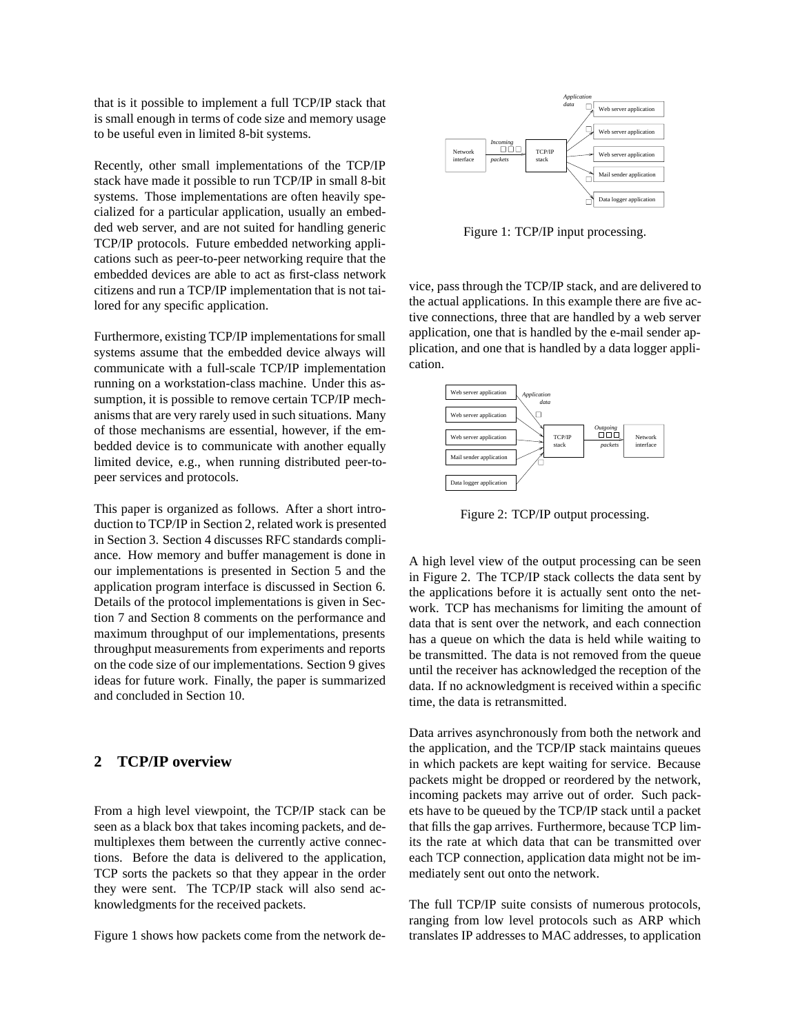that is it possible to implement a full TCP/IP stack that is small enough in terms of code size and memory usage to be useful even in limited 8-bit systems.

Recently, other small implementations of the TCP/IP stack have made it possible to run TCP/IP in small 8-bit systems. Those implementations are often heavily specialized for a particular application, usually an embedded web server, and are not suited for handling generic TCP/IP protocols. Future embedded networking applications such as peer-to-peer networking require that the embedded devices are able to act as first-class network citizens and run a TCP/IP implementation that is not tailored for any specific application.

Furthermore, existing TCP/IP implementations for small systems assume that the embedded device always will communicate with a full-scale TCP/IP implementation running on a workstation-class machine. Under this assumption, it is possible to remove certain TCP/IP mechanisms that are very rarely used in such situations. Many of those mechanisms are essential, however, if the embedded device is to communicate with another equally limited device, e.g., when running distributed peer-topeer services and protocols.

This paper is organized as follows. After a short introduction to TCP/IP in Section 2, related work is presented in Section 3. Section 4 discusses RFC standards compliance. How memory and buffer management is done in our implementations is presented in Section 5 and the application program interface is discussed in Section 6. Details of the protocol implementations is given in Section 7 and Section 8 comments on the performance and maximum throughput of our implementations, presents throughput measurements from experiments and reports on the code size of our implementations. Section 9 gives ideas for future work. Finally, the paper is summarized and concluded in Section 10.

## **2 TCP/IP overview**

From a high level viewpoint, the TCP/IP stack can be seen as a black box that takes incoming packets, and demultiplexes them between the currently active connections. Before the data is delivered to the application, TCP sorts the packets so that they appear in the order they were sent. The TCP/IP stack will also send acknowledgments for the received packets.

Figure 1 shows how packets come from the network de-



Figure 1: TCP/IP input processing.

vice, pass through the TCP/IP stack, and are delivered to the actual applications. In this example there are five active connections, three that are handled by a web server application, one that is handled by the e-mail sender application, and one that is handled by a data logger application.



Figure 2: TCP/IP output processing.

A high level view of the output processing can be seen in Figure 2. The TCP/IP stack collects the data sent by the applications before it is actually sent onto the network. TCP has mechanisms for limiting the amount of data that is sent over the network, and each connection has a queue on which the data is held while waiting to be transmitted. The data is not removed from the queue until the receiver has acknowledged the reception of the data. If no acknowledgment is received within a specific time, the data is retransmitted.

Data arrives asynchronously from both the network and the application, and the TCP/IP stack maintains queues in which packets are kept waiting for service. Because packets might be dropped or reordered by the network, incoming packets may arrive out of order. Such packets have to be queued by the TCP/IP stack until a packet that fills the gap arrives. Furthermore, because TCP limits the rate at which data that can be transmitted over each TCP connection, application data might not be immediately sent out onto the network.

The full TCP/IP suite consists of numerous protocols, ranging from low level protocols such as ARP which translates IP addresses to MAC addresses, to application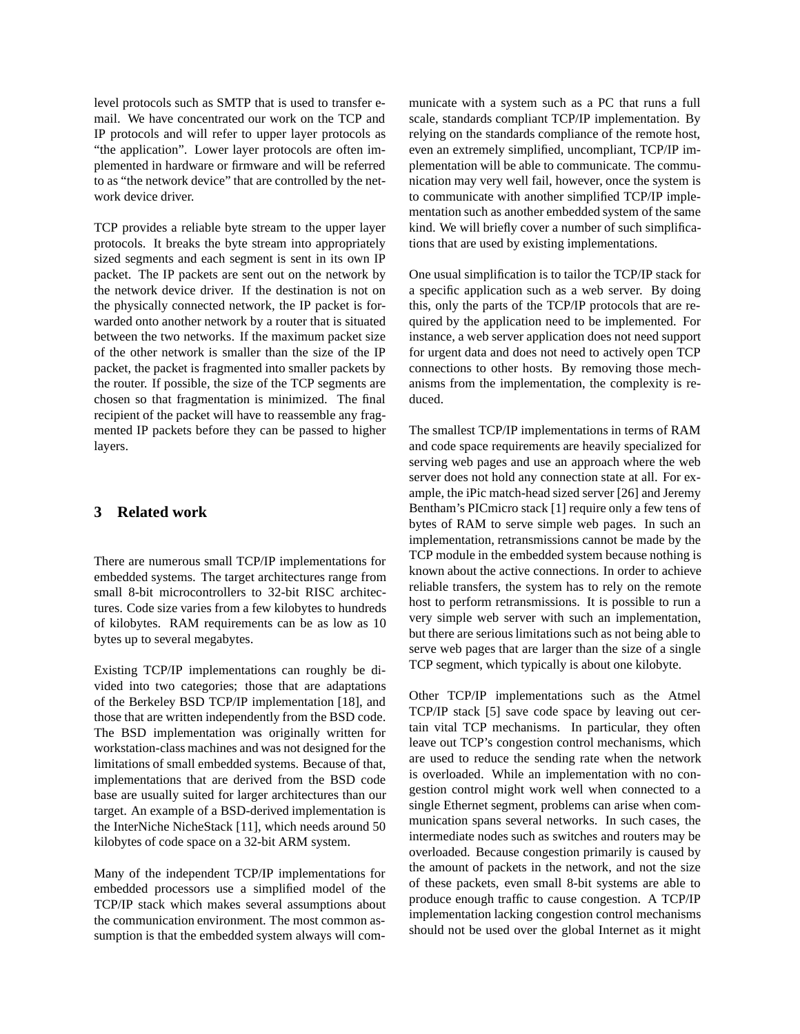level protocols such as SMTP that is used to transfer email. We have concentrated our work on the TCP and IP protocols and will refer to upper layer protocols as "the application". Lower layer protocols are often implemented in hardware or firmware and will be referred to as "the network device" that are controlled by the network device driver.

TCP provides a reliable byte stream to the upper layer protocols. It breaks the byte stream into appropriately sized segments and each segment is sent in its own IP packet. The IP packets are sent out on the network by the network device driver. If the destination is not on the physically connected network, the IP packet is forwarded onto another network by a router that is situated between the two networks. If the maximum packet size of the other network is smaller than the size of the IP packet, the packet is fragmented into smaller packets by the router. If possible, the size of the TCP segments are chosen so that fragmentation is minimized. The final recipient of the packet will have to reassemble any fragmented IP packets before they can be passed to higher layers.

## **3 Related work**

There are numerous small TCP/IP implementations for embedded systems. The target architectures range from small 8-bit microcontrollers to 32-bit RISC architectures. Code size varies from a few kilobytes to hundreds of kilobytes. RAM requirements can be as low as 10 bytes up to several megabytes.

Existing TCP/IP implementations can roughly be divided into two categories; those that are adaptations of the Berkeley BSD TCP/IP implementation [18], and those that are written independently from the BSD code. The BSD implementation was originally written for workstation-class machines and was not designed for the limitations of small embedded systems. Because of that, implementations that are derived from the BSD code base are usually suited for larger architectures than our target. An example of a BSD-derived implementation is the InterNiche NicheStack [11], which needs around 50 kilobytes of code space on a 32-bit ARM system.

Many of the independent TCP/IP implementations for embedded processors use a simplified model of the TCP/IP stack which makes several assumptions about the communication environment. The most common assumption is that the embedded system always will communicate with a system such as a PC that runs a full scale, standards compliant TCP/IP implementation. By relying on the standards compliance of the remote host, even an extremely simplified, uncompliant, TCP/IP implementation will be able to communicate. The communication may very well fail, however, once the system is to communicate with another simplified TCP/IP implementation such as another embedded system of the same kind. We will briefly cover a number of such simplifications that are used by existing implementations.

One usual simplification is to tailor the TCP/IP stack for a specific application such as a web server. By doing this, only the parts of the TCP/IP protocols that are required by the application need to be implemented. For instance, a web server application does not need support for urgent data and does not need to actively open TCP connections to other hosts. By removing those mechanisms from the implementation, the complexity is reduced.

The smallest TCP/IP implementations in terms of RAM and code space requirements are heavily specialized for serving web pages and use an approach where the web server does not hold any connection state at all. For example, the iPic match-head sized server [26] and Jeremy Bentham's PICmicro stack [1] require only a few tens of bytes of RAM to serve simple web pages. In such an implementation, retransmissions cannot be made by the TCP module in the embedded system because nothing is known about the active connections. In order to achieve reliable transfers, the system has to rely on the remote host to perform retransmissions. It is possible to run a very simple web server with such an implementation, but there are serious limitations such as not being able to serve web pages that are larger than the size of a single TCP segment, which typically is about one kilobyte.

Other TCP/IP implementations such as the Atmel TCP/IP stack [5] save code space by leaving out certain vital TCP mechanisms. In particular, they often leave out TCP's congestion control mechanisms, which are used to reduce the sending rate when the network is overloaded. While an implementation with no congestion control might work well when connected to a single Ethernet segment, problems can arise when communication spans several networks. In such cases, the intermediate nodes such as switches and routers may be overloaded. Because congestion primarily is caused by the amount of packets in the network, and not the size of these packets, even small 8-bit systems are able to produce enough traffic to cause congestion. A TCP/IP implementation lacking congestion control mechanisms should not be used over the global Internet as it might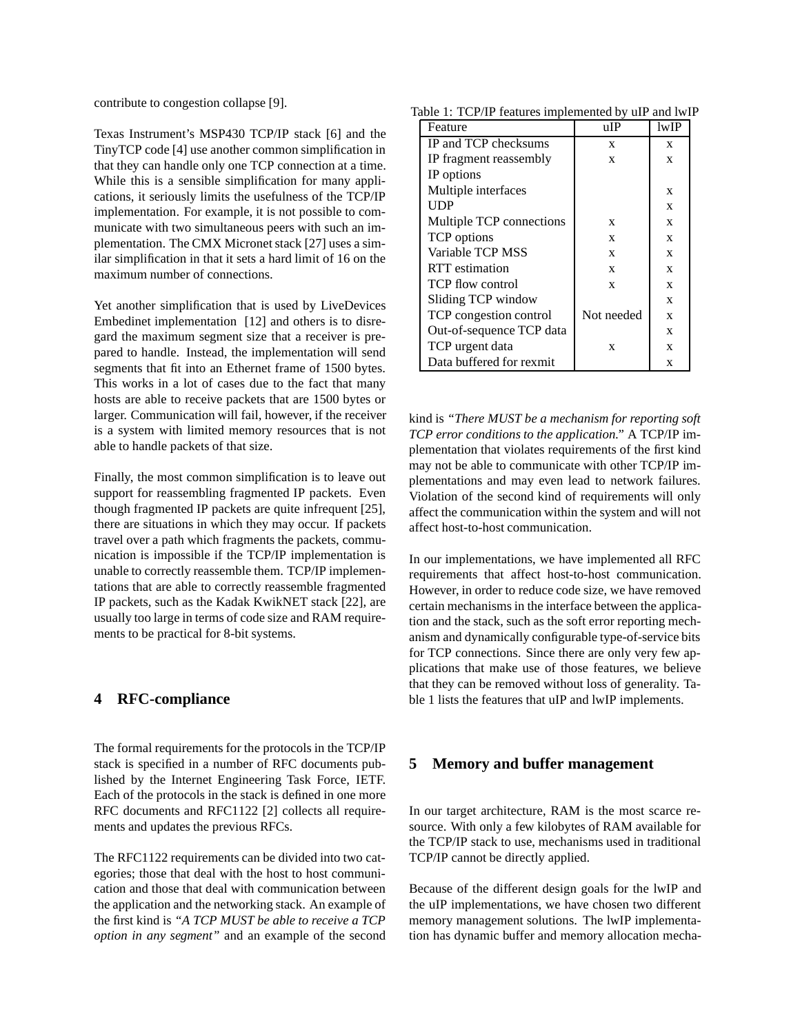contribute to congestion collapse [9].

Texas Instrument's MSP430 TCP/IP stack [6] and the TinyTCP code [4] use another common simplification in that they can handle only one TCP connection at a time. While this is a sensible simplification for many applications, it seriously limits the usefulness of the TCP/IP implementation. For example, it is not possible to communicate with two simultaneous peers with such an implementation. The CMX Micronet stack [27] uses a similar simplification in that it sets a hard limit of 16 on the maximum number of connections.

Yet another simplification that is used by LiveDevices Embedinet implementation [12] and others is to disregard the maximum segment size that a receiver is prepared to handle. Instead, the implementation will send segments that fit into an Ethernet frame of 1500 bytes. This works in a lot of cases due to the fact that many hosts are able to receive packets that are 1500 bytes or larger. Communication will fail, however, if the receiver is a system with limited memory resources that is not able to handle packets of that size.

Finally, the most common simplification is to leave out support for reassembling fragmented IP packets. Even though fragmented IP packets are quite infrequent [25], there are situations in which they may occur. If packets travel over a path which fragments the packets, communication is impossible if the TCP/IP implementation is unable to correctly reassemble them. TCP/IP implementations that are able to correctly reassemble fragmented IP packets, such as the Kadak KwikNET stack [22], are usually too large in terms of code size and RAM requirements to be practical for 8-bit systems.

#### **4 RFC-compliance**

The formal requirements for the protocols in the TCP/IP stack is specified in a number of RFC documents published by the Internet Engineering Task Force, IETF. Each of the protocols in the stack is defined in one more RFC documents and RFC1122 [2] collects all requirements and updates the previous RFCs.

The RFC1122 requirements can be divided into two categories; those that deal with the host to host communication and those that deal with communication between the application and the networking stack. An example of the first kind is *"A TCP MUST be able to receive a TCP option in any segment"* and an example of the second

Table 1: TCP/IP features implemented by uIP and lwIP

| Feature                  | uIP        | lwIP |
|--------------------------|------------|------|
| IP and TCP checksums     | X          | X    |
| IP fragment reassembly   | X          | X    |
| IP options               |            |      |
| Multiple interfaces      |            | X    |
| UDP                      |            | X    |
| Multiple TCP connections | X          | X    |
| <b>TCP</b> options       | X          | X    |
| Variable TCP MSS         | X          | X    |
| RTT estimation           | X          | X    |
| <b>TCP</b> flow control  | X          | X    |
| Sliding TCP window       |            | X    |
| TCP congestion control   | Not needed | X    |
| Out-of-sequence TCP data |            | X    |
| TCP urgent data          | X          | X    |
| Data buffered for rexmit |            | X    |

kind is *"There MUST be a mechanism for reporting soft TCP error conditions to the application."* A TCP/IP implementation that violates requirements of the first kind may not be able to communicate with other TCP/IP implementations and may even lead to network failures. Violation of the second kind of requirements will only affect the communication within the system and will not affect host-to-host communication.

In our implementations, we have implemented all RFC requirements that affect host-to-host communication. However, in order to reduce code size, we have removed certain mechanisms in the interface between the application and the stack, such as the soft error reporting mechanism and dynamically configurable type-of-service bits for TCP connections. Since there are only very few applications that make use of those features, we believe that they can be removed without loss of generality. Table 1 lists the features that uIP and lwIP implements.

## **5 Memory and buffer management**

In our target architecture, RAM is the most scarce resource. With only a few kilobytes of RAM available for the TCP/IP stack to use, mechanisms used in traditional TCP/IP cannot be directly applied.

Because of the different design goals for the lwIP and the uIP implementations, we have chosen two different memory management solutions. The lwIP implementation has dynamic buffer and memory allocation mecha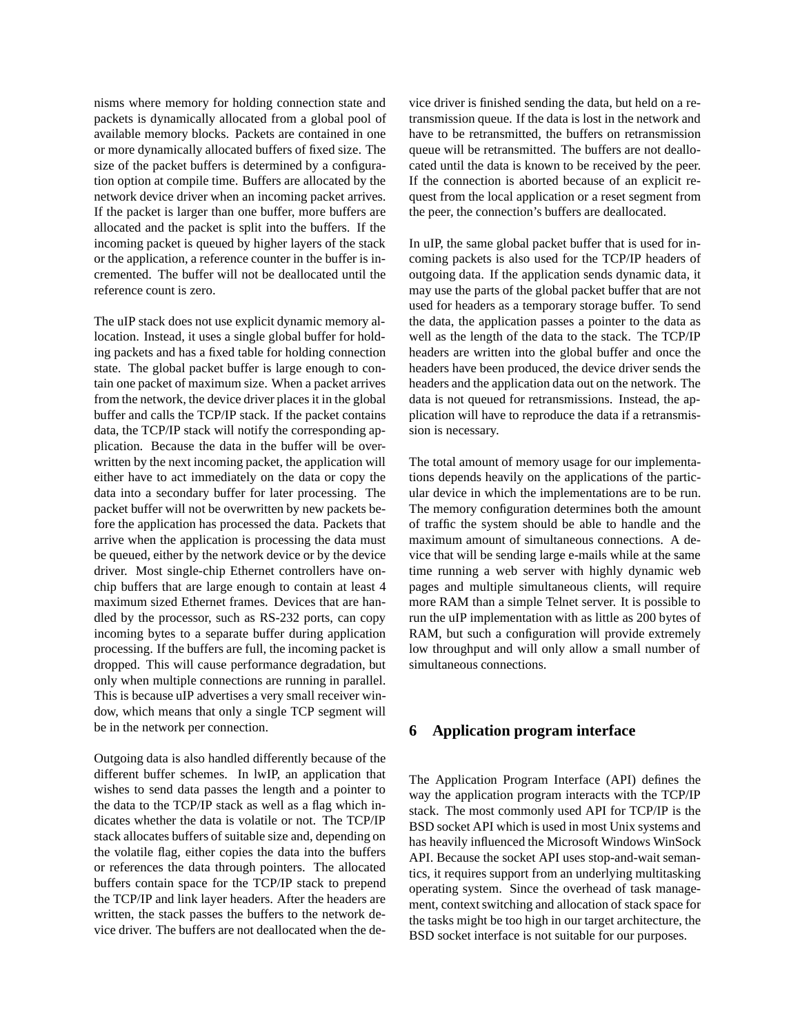nisms where memory for holding connection state and packets is dynamically allocated from a global pool of available memory blocks. Packets are contained in one or more dynamically allocated buffers of fixed size. The size of the packet buffers is determined by a configuration option at compile time. Buffers are allocated by the network device driver when an incoming packet arrives. If the packet is larger than one buffer, more buffers are allocated and the packet is split into the buffers. If the incoming packet is queued by higher layers of the stack or the application, a reference counter in the buffer is incremented. The buffer will not be deallocated until the reference count is zero.

The uIP stack does not use explicit dynamic memory allocation. Instead, it uses a single global buffer for holding packets and has a fixed table for holding connection state. The global packet buffer is large enough to contain one packet of maximum size. When a packet arrives from the network, the device driver places it in the global buffer and calls the TCP/IP stack. If the packet contains data, the TCP/IP stack will notify the corresponding application. Because the data in the buffer will be overwritten by the next incoming packet, the application will either have to act immediately on the data or copy the data into a secondary buffer for later processing. The packet buffer will not be overwritten by new packets before the application has processed the data. Packets that arrive when the application is processing the data must be queued, either by the network device or by the device driver. Most single-chip Ethernet controllers have onchip buffers that are large enough to contain at least 4 maximum sized Ethernet frames. Devices that are handled by the processor, such as RS-232 ports, can copy incoming bytes to a separate buffer during application processing. If the buffers are full, the incoming packet is dropped. This will cause performance degradation, but only when multiple connections are running in parallel. This is because uIP advertises a very small receiver window, which means that only a single TCP segment will be in the network per connection.

Outgoing data is also handled differently because of the different buffer schemes. In lwIP, an application that wishes to send data passes the length and a pointer to the data to the TCP/IP stack as well as a flag which indicates whether the data is volatile or not. The TCP/IP stack allocates buffers of suitable size and, depending on the volatile flag, either copies the data into the buffers or references the data through pointers. The allocated buffers contain space for the TCP/IP stack to prepend the TCP/IP and link layer headers. After the headers are written, the stack passes the buffers to the network device driver. The buffers are not deallocated when the device driver is finished sending the data, but held on a retransmission queue. If the data is lost in the network and have to be retransmitted, the buffers on retransmission queue will be retransmitted. The buffers are not deallocated until the data is known to be received by the peer. If the connection is aborted because of an explicit request from the local application or a reset segment from the peer, the connection's buffers are deallocated.

In uIP, the same global packet buffer that is used for incoming packets is also used for the TCP/IP headers of outgoing data. If the application sends dynamic data, it may use the parts of the global packet buffer that are not used for headers as a temporary storage buffer. To send the data, the application passes a pointer to the data as well as the length of the data to the stack. The TCP/IP headers are written into the global buffer and once the headers have been produced, the device driver sends the headers and the application data out on the network. The data is not queued for retransmissions. Instead, the application will have to reproduce the data if a retransmission is necessary.

The total amount of memory usage for our implementations depends heavily on the applications of the particular device in which the implementations are to be run. The memory configuration determines both the amount of traffic the system should be able to handle and the maximum amount of simultaneous connections. A device that will be sending large e-mails while at the same time running a web server with highly dynamic web pages and multiple simultaneous clients, will require more RAM than a simple Telnet server. It is possible to run the uIP implementation with as little as 200 bytes of RAM, but such a configuration will provide extremely low throughput and will only allow a small number of simultaneous connections.

### **6 Application program interface**

The Application Program Interface (API) defines the way the application program interacts with the TCP/IP stack. The most commonly used API for TCP/IP is the BSD socket API which is used in most Unix systems and has heavily influenced the Microsoft Windows WinSock API. Because the socket API uses stop-and-wait semantics, it requires support from an underlying multitasking operating system. Since the overhead of task management, context switching and allocation of stack space for the tasks might be too high in our target architecture, the BSD socket interface is not suitable for our purposes.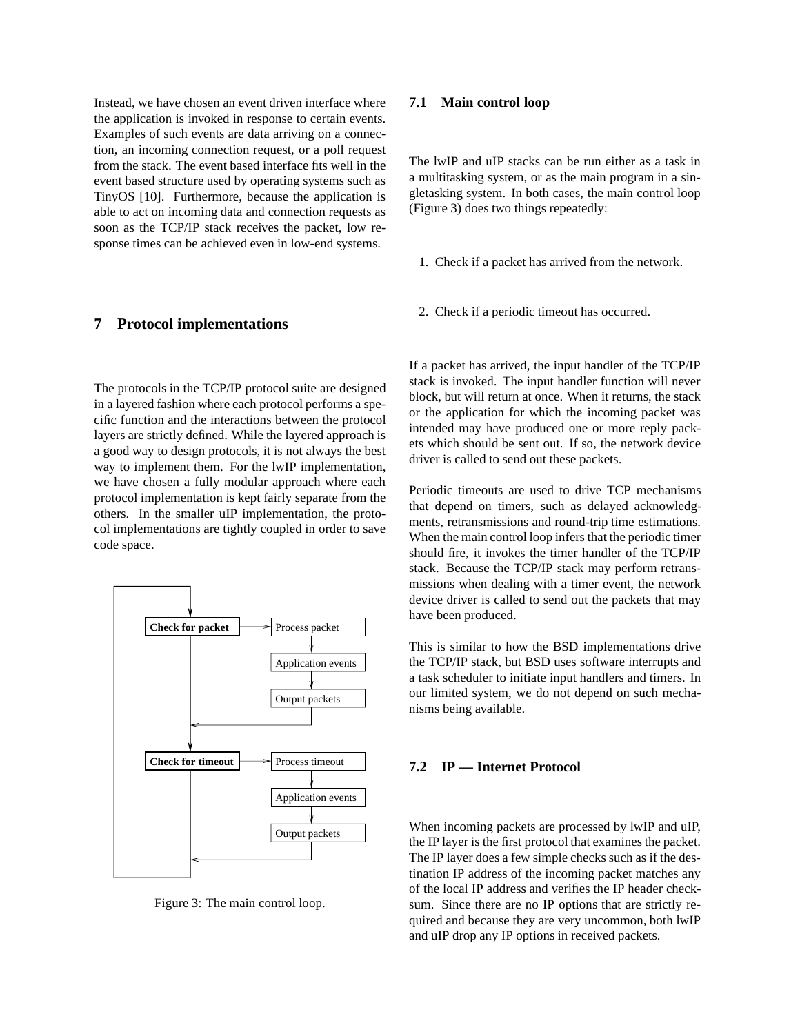Instead, we have chosen an event driven interface where the application is invoked in response to certain events. Examples of such events are data arriving on a connection, an incoming connection request, or a poll request from the stack. The event based interface fits well in the event based structure used by operating systems such as TinyOS [10]. Furthermore, because the application is able to act on incoming data and connection requests as soon as the TCP/IP stack receives the packet, low response times can be achieved even in low-end systems.

## **7 Protocol implementations**

The protocols in the TCP/IP protocol suite are designed in a layered fashion where each protocol performs a specific function and the interactions between the protocol layers are strictly defined. While the layered approach is a good way to design protocols, it is not always the best way to implement them. For the lwIP implementation, we have chosen a fully modular approach where each protocol implementation is kept fairly separate from the others. In the smaller uIP implementation, the protocol implementations are tightly coupled in order to save code space.



Figure 3: The main control loop.

#### **7.1 Main control loop**

The lwIP and uIP stacks can be run either as a task in a multitasking system, or as the main program in a singletasking system. In both cases, the main control loop (Figure 3) does two things repeatedly:

- 1. Check if a packet has arrived from the network.
- 2. Check if a periodic timeout has occurred.

If a packet has arrived, the input handler of the TCP/IP stack is invoked. The input handler function will never block, but will return at once. When it returns, the stack or the application for which the incoming packet was intended may have produced one or more reply packets which should be sent out. If so, the network device driver is called to send out these packets.

Periodic timeouts are used to drive TCP mechanisms that depend on timers, such as delayed acknowledgments, retransmissions and round-trip time estimations. When the main control loop infers that the periodic timer should fire, it invokes the timer handler of the TCP/IP stack. Because the TCP/IP stack may perform retransmissions when dealing with a timer event, the network device driver is called to send out the packets that may have been produced.

This is similar to how the BSD implementations drive the TCP/IP stack, but BSD uses software interrupts and a task scheduler to initiate input handlers and timers. In our limited system, we do not depend on such mechanisms being available.

#### **7.2 IP — Internet Protocol**

When incoming packets are processed by lwIP and uIP, the IP layer is the first protocol that examines the packet. The IP layer does a few simple checks such as if the destination IP address of the incoming packet matches any of the local IP address and verifies the IP header checksum. Since there are no IP options that are strictly required and because they are very uncommon, both lwIP and uIP drop any IP options in received packets.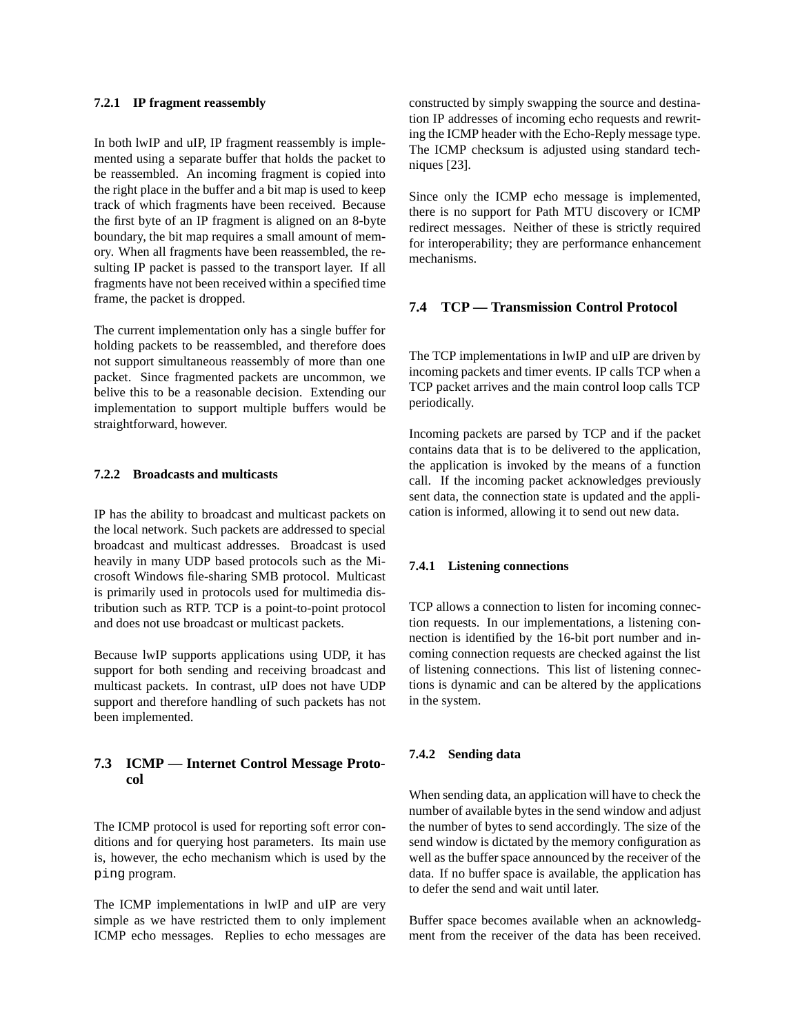#### **7.2.1 IP fragment reassembly**

In both lwIP and uIP, IP fragment reassembly is implemented using a separate buffer that holds the packet to be reassembled. An incoming fragment is copied into the right place in the buffer and a bit map is used to keep track of which fragments have been received. Because the first byte of an IP fragment is aligned on an 8-byte boundary, the bit map requires a small amount of memory. When all fragments have been reassembled, the resulting IP packet is passed to the transport layer. If all fragments have not been received within a specified time frame, the packet is dropped.

The current implementation only has a single buffer for holding packets to be reassembled, and therefore does not support simultaneous reassembly of more than one packet. Since fragmented packets are uncommon, we belive this to be a reasonable decision. Extending our implementation to support multiple buffers would be straightforward, however.

### **7.2.2 Broadcasts and multicasts**

IP has the ability to broadcast and multicast packets on the local network. Such packets are addressed to special broadcast and multicast addresses. Broadcast is used heavily in many UDP based protocols such as the Microsoft Windows file-sharing SMB protocol. Multicast is primarily used in protocols used for multimedia distribution such as RTP. TCP is a point-to-point protocol and does not use broadcast or multicast packets.

Because lwIP supports applications using UDP, it has support for both sending and receiving broadcast and multicast packets. In contrast, uIP does not have UDP support and therefore handling of such packets has not been implemented.

## **7.3 ICMP — Internet Control Message Protocol**

The ICMP protocol is used for reporting soft error conditions and for querying host parameters. Its main use is, however, the echo mechanism which is used by the ping program.

The ICMP implementations in lwIP and uIP are very simple as we have restricted them to only implement ICMP echo messages. Replies to echo messages are constructed by simply swapping the source and destination IP addresses of incoming echo requests and rewriting the ICMP header with the Echo-Reply message type. The ICMP checksum is adjusted using standard techniques [23].

Since only the ICMP echo message is implemented, there is no support for Path MTU discovery or ICMP redirect messages. Neither of these is strictly required for interoperability; they are performance enhancement mechanisms.

#### **7.4 TCP — Transmission Control Protocol**

The TCP implementations in lwIP and uIP are driven by incoming packets and timer events. IP calls TCP when a TCP packet arrives and the main control loop calls TCP periodically.

Incoming packets are parsed by TCP and if the packet contains data that is to be delivered to the application, the application is invoked by the means of a function call. If the incoming packet acknowledges previously sent data, the connection state is updated and the application is informed, allowing it to send out new data.

### **7.4.1 Listening connections**

TCP allows a connection to listen for incoming connection requests. In our implementations, a listening connection is identified by the 16-bit port number and incoming connection requests are checked against the list of listening connections. This list of listening connections is dynamic and can be altered by the applications in the system.

### **7.4.2 Sending data**

When sending data, an application will have to check the number of available bytes in the send window and adjust the number of bytes to send accordingly. The size of the send window is dictated by the memory configuration as well as the buffer space announced by the receiver of the data. If no buffer space is available, the application has to defer the send and wait until later.

Buffer space becomes available when an acknowledgment from the receiver of the data has been received.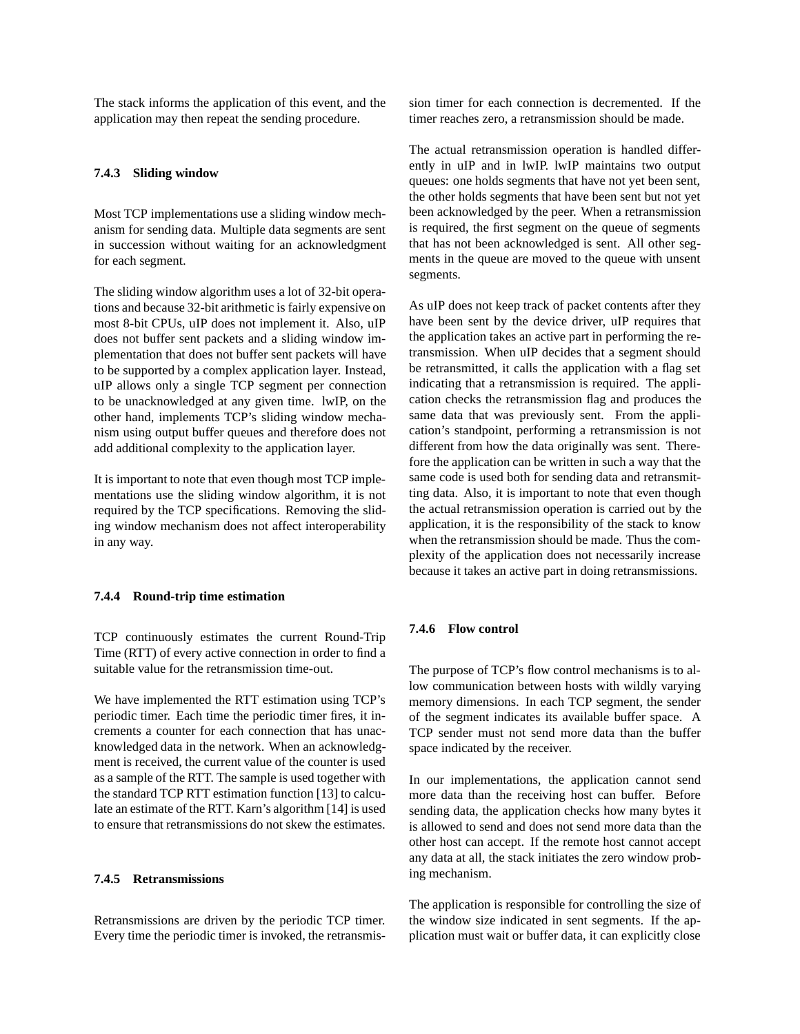The stack informs the application of this event, and the application may then repeat the sending procedure.

### **7.4.3 Sliding window**

Most TCP implementations use a sliding window mechanism for sending data. Multiple data segments are sent in succession without waiting for an acknowledgment for each segment.

The sliding window algorithm uses a lot of 32-bit operations and because 32-bit arithmetic is fairly expensive on most 8-bit CPUs, uIP does not implement it. Also, uIP does not buffer sent packets and a sliding window implementation that does not buffer sent packets will have to be supported by a complex application layer. Instead, uIP allows only a single TCP segment per connection to be unacknowledged at any given time. lwIP, on the other hand, implements TCP's sliding window mechanism using output buffer queues and therefore does not add additional complexity to the application layer.

It is important to note that even though most TCP implementations use the sliding window algorithm, it is not required by the TCP specifications. Removing the sliding window mechanism does not affect interoperability in any way.

#### **7.4.4 Round-trip time estimation**

TCP continuously estimates the current Round-Trip Time (RTT) of every active connection in order to find a suitable value for the retransmission time-out.

We have implemented the RTT estimation using TCP's periodic timer. Each time the periodic timer fires, it increments a counter for each connection that has unacknowledged data in the network. When an acknowledgment is received, the current value of the counter is used as a sample of the RTT. The sample is used together with the standard TCP RTT estimation function [13] to calculate an estimate of the RTT. Karn's algorithm [14] is used to ensure that retransmissions do not skew the estimates.

#### **7.4.5 Retransmissions**

Retransmissions are driven by the periodic TCP timer. Every time the periodic timer is invoked, the retransmission timer for each connection is decremented. If the timer reaches zero, a retransmission should be made.

The actual retransmission operation is handled differently in uIP and in lwIP. lwIP maintains two output queues: one holds segments that have not yet been sent, the other holds segments that have been sent but not yet been acknowledged by the peer. When a retransmission is required, the first segment on the queue of segments that has not been acknowledged is sent. All other segments in the queue are moved to the queue with unsent segments.

As uIP does not keep track of packet contents after they have been sent by the device driver, uIP requires that the application takes an active part in performing the retransmission. When uIP decides that a segment should be retransmitted, it calls the application with a flag set indicating that a retransmission is required. The application checks the retransmission flag and produces the same data that was previously sent. From the application's standpoint, performing a retransmission is not different from how the data originally was sent. Therefore the application can be written in such a way that the same code is used both for sending data and retransmitting data. Also, it is important to note that even though the actual retransmission operation is carried out by the application, it is the responsibility of the stack to know when the retransmission should be made. Thus the complexity of the application does not necessarily increase because it takes an active part in doing retransmissions.

#### **7.4.6 Flow control**

The purpose of TCP's flow control mechanisms is to allow communication between hosts with wildly varying memory dimensions. In each TCP segment, the sender of the segment indicates its available buffer space. A TCP sender must not send more data than the buffer space indicated by the receiver.

In our implementations, the application cannot send more data than the receiving host can buffer. Before sending data, the application checks how many bytes it is allowed to send and does not send more data than the other host can accept. If the remote host cannot accept any data at all, the stack initiates the zero window probing mechanism.

The application is responsible for controlling the size of the window size indicated in sent segments. If the application must wait or buffer data, it can explicitly close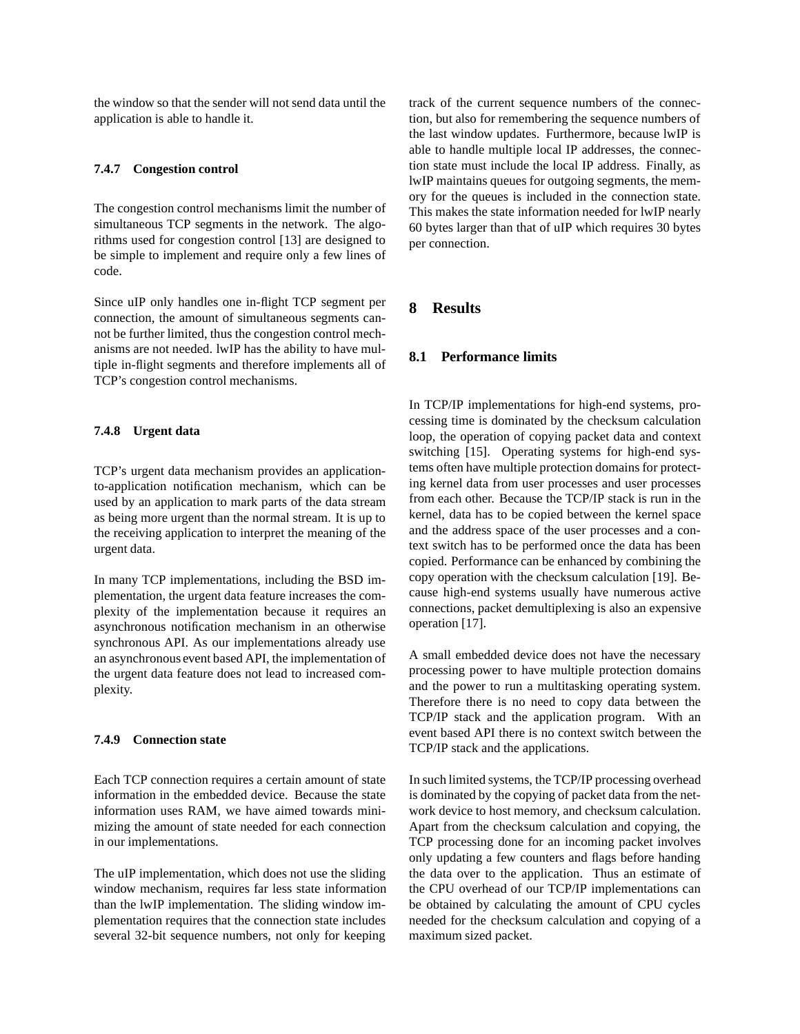the window so that the sender will not send data until the application is able to handle it.

#### **7.4.7 Congestion control**

The congestion control mechanisms limit the number of simultaneous TCP segments in the network. The algorithms used for congestion control [13] are designed to be simple to implement and require only a few lines of code.

Since uIP only handles one in-flight TCP segment per connection, the amount of simultaneous segments cannot be further limited, thus the congestion control mechanisms are not needed. lwIP has the ability to have multiple in-flight segments and therefore implements all of TCP's congestion control mechanisms.

#### **7.4.8 Urgent data**

TCP's urgent data mechanism provides an applicationto-application notification mechanism, which can be used by an application to mark parts of the data stream as being more urgent than the normal stream. It is up to the receiving application to interpret the meaning of the urgent data.

In many TCP implementations, including the BSD implementation, the urgent data feature increases the complexity of the implementation because it requires an asynchronous notification mechanism in an otherwise synchronous API. As our implementations already use an asynchronous event based API, the implementation of the urgent data feature does not lead to increased complexity.

#### **7.4.9 Connection state**

Each TCP connection requires a certain amount of state information in the embedded device. Because the state information uses RAM, we have aimed towards minimizing the amount of state needed for each connection in our implementations.

The uIP implementation, which does not use the sliding window mechanism, requires far less state information than the lwIP implementation. The sliding window implementation requires that the connection state includes several 32-bit sequence numbers, not only for keeping

track of the current sequence numbers of the connection, but also for remembering the sequence numbers of the last window updates. Furthermore, because lwIP is able to handle multiple local IP addresses, the connection state must include the local IP address. Finally, as lwIP maintains queues for outgoing segments, the memory for the queues is included in the connection state. This makes the state information needed for lwIP nearly 60 bytes larger than that of uIP which requires 30 bytes per connection.

## **8 Results**

#### **8.1 Performance limits**

In TCP/IP implementations for high-end systems, processing time is dominated by the checksum calculation loop, the operation of copying packet data and context switching [15]. Operating systems for high-end systems often have multiple protection domains for protecting kernel data from user processes and user processes from each other. Because the TCP/IP stack is run in the kernel, data has to be copied between the kernel space and the address space of the user processes and a context switch has to be performed once the data has been copied. Performance can be enhanced by combining the copy operation with the checksum calculation [19]. Because high-end systems usually have numerous active connections, packet demultiplexing is also an expensive operation [17].

A small embedded device does not have the necessary processing power to have multiple protection domains and the power to run a multitasking operating system. Therefore there is no need to copy data between the TCP/IP stack and the application program. With an event based API there is no context switch between the TCP/IP stack and the applications.

In such limited systems, the TCP/IP processing overhead is dominated by the copying of packet data from the network device to host memory, and checksum calculation. Apart from the checksum calculation and copying, the TCP processing done for an incoming packet involves only updating a few counters and flags before handing the data over to the application. Thus an estimate of the CPU overhead of our TCP/IP implementations can be obtained by calculating the amount of CPU cycles needed for the checksum calculation and copying of a maximum sized packet.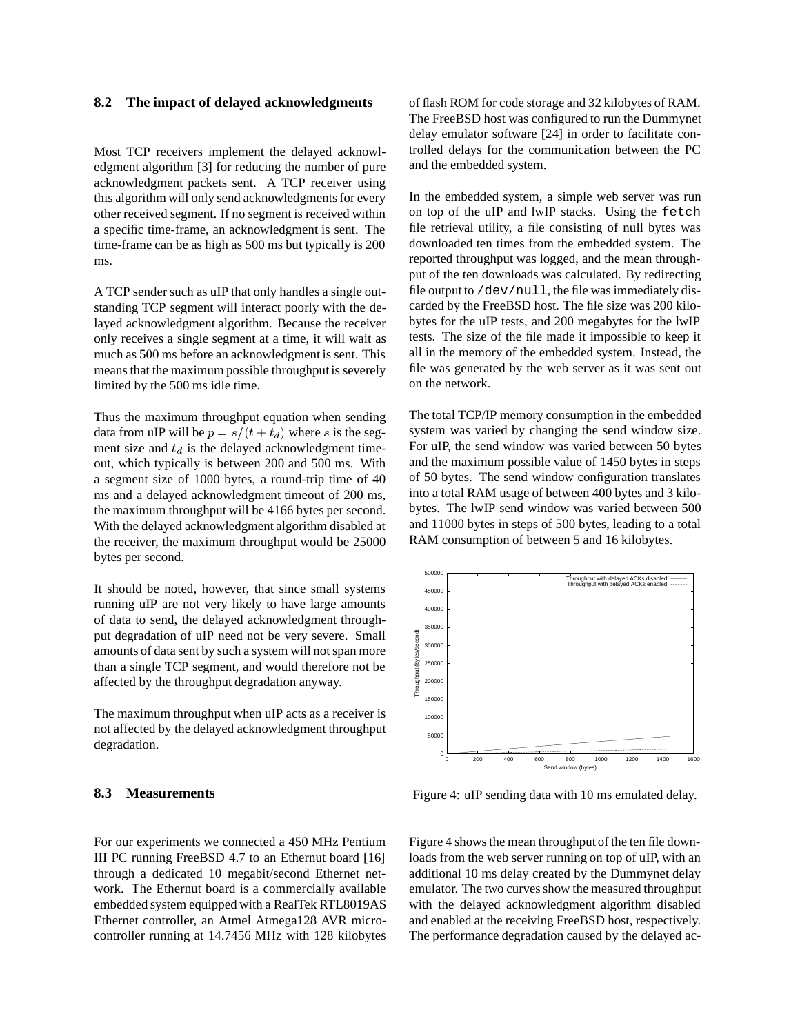#### **8.2 The impact of delayed acknowledgments**

Most TCP receivers implement the delayed acknowledgment algorithm [3] for reducing the number of pure acknowledgment packets sent. A TCP receiver using this algorithm will only send acknowledgments for every other received segment. If no segment is received within a specific time-frame, an acknowledgment is sent. The time-frame can be as high as 500 ms but typically is 200 ms.

A TCP sender such as uIP that only handles a single outstanding TCP segment will interact poorly with the delayed acknowledgment algorithm. Because the receiver only receives a single segment at a time, it will wait as much as 500 ms before an acknowledgment is sent. This means that the maximum possible throughput is severely limited by the 500 ms idle time.

Thus the maximum throughput equation when sending data from uIP will be  $p = s/(t + t_d)$  where s is the segment size and  $t_d$  is the delayed acknowledgment timeout, which typically is between 200 and 500 ms. With a segment size of 1000 bytes, a round-trip time of 40 ms and a delayed acknowledgment timeout of 200 ms, the maximum throughput will be 4166 bytes per second. With the delayed acknowledgment algorithm disabled at the receiver, the maximum throughput would be 25000 bytes per second.

It should be noted, however, that since small systems running uIP are not very likely to have large amounts of data to send, the delayed acknowledgment throughput degradation of uIP need not be very severe. Small amounts of data sent by such a system will not span more than a single TCP segment, and would therefore not be affected by the throughput degradation anyway.

The maximum throughput when uIP acts as a receiver is not affected by the delayed acknowledgment throughput degradation.

### **8.3 Measurements**

of flash ROM for code storage and 32 kilobytes of RAM. The FreeBSD host was configured to run the Dummynet delay emulator software [24] in order to facilitate controlled delays for the communication between the PC and the embedded system.

In the embedded system, a simple web server was run on top of the uIP and lwIP stacks. Using the fetch file retrieval utility, a file consisting of null bytes was downloaded ten times from the embedded system. The reported throughput was logged, and the mean throughput of the ten downloads was calculated. By redirecting file output to /dev/null, the file was immediately discarded by the FreeBSD host. The file size was 200 kilobytes for the uIP tests, and 200 megabytes for the lwIP tests. The size of the file made it impossible to keep it all in the memory of the embedded system. Instead, the file was generated by the web server as it was sent out on the network.

The total TCP/IP memory consumption in the embedded system was varied by changing the send window size. For uIP, the send window was varied between 50 bytes and the maximum possible value of 1450 bytes in steps of 50 bytes. The send window configuration translates into a total RAM usage of between 400 bytes and 3 kilobytes. The lwIP send window was varied between 500 and 11000 bytes in steps of 500 bytes, leading to a total RAM consumption of between 5 and 16 kilobytes.



Figure 4: uIP sending data with 10 ms emulated delay.

For our experiments we connected a 450 MHz Pentium III PC running FreeBSD 4.7 to an Ethernut board [16] through a dedicated 10 megabit/second Ethernet network. The Ethernut board is a commercially available embedded system equipped with a RealTek RTL8019AS Ethernet controller, an Atmel Atmega128 AVR microcontroller running at 14.7456 MHz with 128 kilobytes Figure 4 shows the mean throughput of the ten file downloads from the web server running on top of uIP, with an additional 10 ms delay created by the Dummynet delay emulator. The two curves show the measured throughput with the delayed acknowledgment algorithm disabled and enabled at the receiving FreeBSD host, respectively. The performance degradation caused by the delayed ac-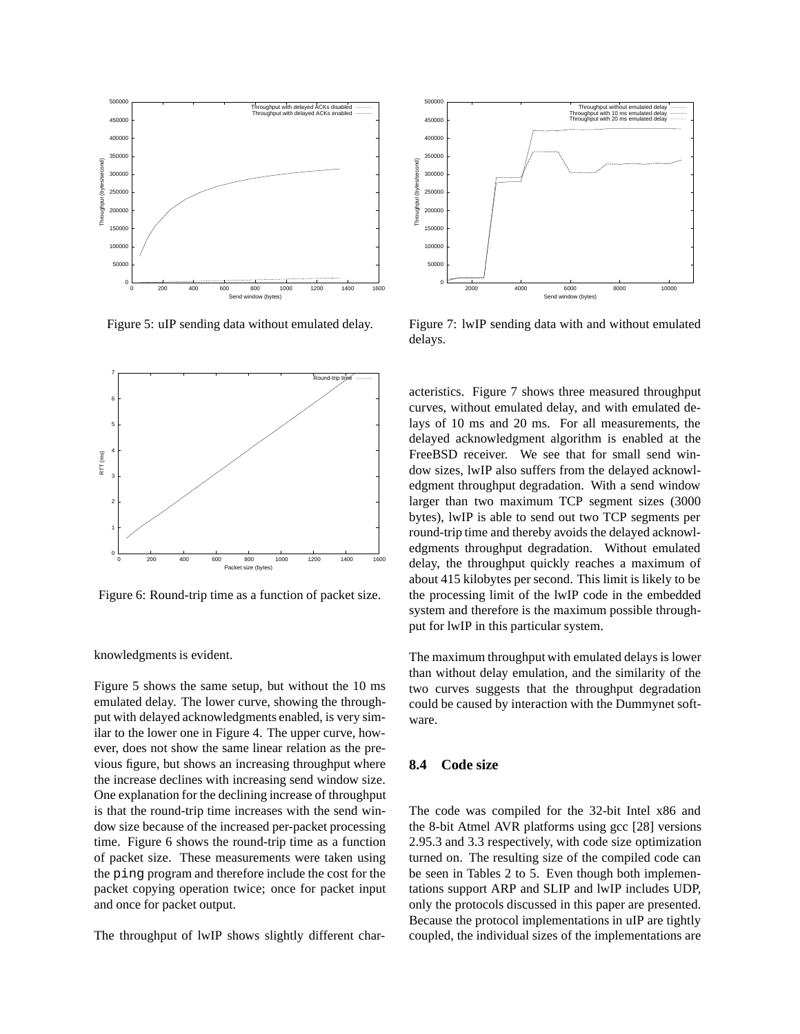

Figure 5: uIP sending data without emulated delay.



Figure 6: Round-trip time as a function of packet size.

knowledgments is evident.

Figure 5 shows the same setup, but without the 10 ms emulated delay. The lower curve, showing the throughput with delayed acknowledgments enabled, is very similar to the lower one in Figure 4. The upper curve, however, does not show the same linear relation as the previous figure, but shows an increasing throughput where the increase declines with increasing send window size. One explanation for the declining increase of throughput is that the round-trip time increases with the send window size because of the increased per-packet processing time. Figure 6 shows the round-trip time as a function of packet size. These measurements were taken using the ping program and therefore include the cost for the packet copying operation twice; once for packet input and once for packet output.

The throughput of lwIP shows slightly different char-



Figure 7: lwIP sending data with and without emulated delays.

acteristics. Figure 7 shows three measured throughput curves, without emulated delay, and with emulated delays of 10 ms and 20 ms. For all measurements, the delayed acknowledgment algorithm is enabled at the FreeBSD receiver. We see that for small send window sizes, lwIP also suffers from the delayed acknowledgment throughput degradation. With a send window larger than two maximum TCP segment sizes (3000 bytes), lwIP is able to send out two TCP segments per round-trip time and thereby avoids the delayed acknowledgments throughput degradation. Without emulated delay, the throughput quickly reaches a maximum of about 415 kilobytes per second. This limit is likely to be the processing limit of the lwIP code in the embedded system and therefore is the maximum possible throughput for lwIP in this particular system.

The maximum throughput with emulated delays is lower than without delay emulation, and the similarity of the two curves suggests that the throughput degradation could be caused by interaction with the Dummynet software.

#### **8.4 Code size**

The code was compiled for the 32-bit Intel x86 and the 8-bit Atmel AVR platforms using gcc [28] versions 2.95.3 and 3.3 respectively, with code size optimization turned on. The resulting size of the compiled code can be seen in Tables 2 to 5. Even though both implementations support ARP and SLIP and lwIP includes UDP, only the protocols discussed in this paper are presented. Because the protocol implementations in uIP are tightly coupled, the individual sizes of the implementations are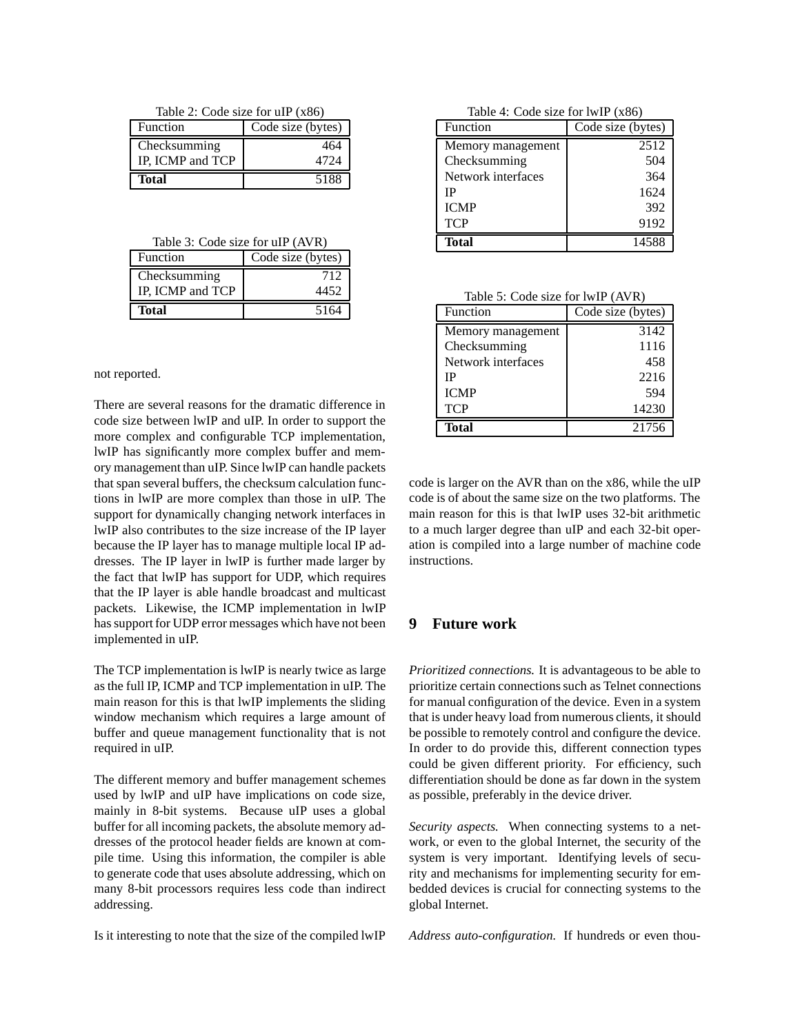Table 2: Code size for uIP (x86)

| <b>Function</b>  | Code size (bytes) $\blacksquare$ |
|------------------|----------------------------------|
| Checksumming     | 464                              |
| IP, ICMP and TCP | 4724                             |
| Total            | 5188                             |

| Table 3: Code size for uIP (AVR) |  |  |  |  |  |  |
|----------------------------------|--|--|--|--|--|--|
|----------------------------------|--|--|--|--|--|--|

| Function         | Code size (bytes) |
|------------------|-------------------|
| Checksumming     | 712               |
| IP, ICMP and TCP | 4452              |
| Total            | 5164              |

not reported.

There are several reasons for the dramatic difference in code size between lwIP and uIP. In order to support the more complex and configurable TCP implementation, lwIP has significantly more complex buffer and memory management than uIP. Since lwIP can handle packets that span several buffers, the checksum calculation functions in lwIP are more complex than those in uIP. The support for dynamically changing network interfaces in lwIP also contributes to the size increase of the IP layer because the IP layer has to manage multiple local IP addresses. The IP layer in lwIP is further made larger by the fact that lwIP has support for UDP, which requires that the IP layer is able handle broadcast and multicast packets. Likewise, the ICMP implementation in lwIP has support for UDP error messages which have not been implemented in uIP.

The TCP implementation is lwIP is nearly twice as large as the full IP, ICMP and TCP implementation in uIP. The main reason for this is that lwIP implements the sliding window mechanism which requires a large amount of buffer and queue management functionality that is not required in uIP.

The different memory and buffer management schemes used by lwIP and uIP have implications on code size, mainly in 8-bit systems. Because uIP uses a global buffer for all incoming packets, the absolute memory addresses of the protocol header fields are known at compile time. Using this information, the compiler is able to generate code that uses absolute addressing, which on many 8-bit processors requires less code than indirect addressing.

Is it interesting to note that the size of the compiled lwIP

Table 4: Code size for lwIP (x86)

| Function           | Code size (bytes) |
|--------------------|-------------------|
| Memory management  | 2512              |
| Checksumming       | 504               |
| Network interfaces | 364               |
| ΙP                 | 1624              |
| <b>ICMP</b>        | 392               |
| <b>TCP</b>         | 9192              |
| Total              | 14588             |

| Table 5: Code size for lwIP (AVR) |  |  |  |  |  |  |
|-----------------------------------|--|--|--|--|--|--|
|-----------------------------------|--|--|--|--|--|--|

| Function           | Code size (bytes) |
|--------------------|-------------------|
| Memory management  | 3142              |
| Checksumming       | 1116              |
| Network interfaces | 458               |
| ΙP                 | 2216              |
| <b>ICMP</b>        | 594               |
| <b>TCP</b>         | 14230             |
| <b>Total</b>       | 21756             |

code is larger on the AVR than on the x86, while the uIP code is of about the same size on the two platforms. The main reason for this is that lwIP uses 32-bit arithmetic to a much larger degree than uIP and each 32-bit operation is compiled into a large number of machine code instructions.

## **9 Future work**

*Prioritized connections.* It is advantageous to be able to prioritize certain connections such as Telnet connections for manual configuration of the device. Even in a system that is under heavy load from numerous clients, it should be possible to remotely control and configure the device. In order to do provide this, different connection types could be given different priority. For efficiency, such differentiation should be done as far down in the system as possible, preferably in the device driver.

*Security aspects.* When connecting systems to a network, or even to the global Internet, the security of the system is very important. Identifying levels of security and mechanisms for implementing security for embedded devices is crucial for connecting systems to the global Internet.

*Address auto-configuration.* If hundreds or even thou-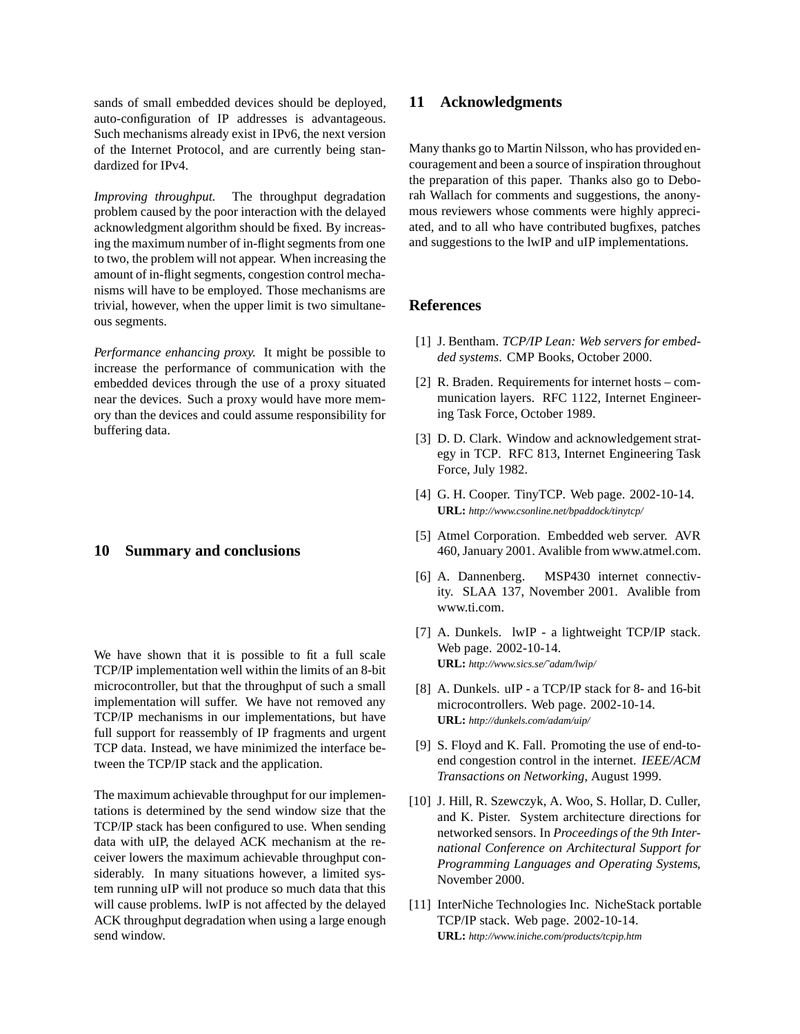sands of small embedded devices should be deployed, auto-configuration of IP addresses is advantageous. Such mechanisms already exist in IPv6, the next version of the Internet Protocol, and are currently being standardized for IPv4.

*Improving throughput.* The throughput degradation problem caused by the poor interaction with the delayed acknowledgment algorithm should be fixed. By increasing the maximum number of in-flight segments from one to two, the problem will not appear. When increasing the amount of in-flight segments, congestion control mechanisms will have to be employed. Those mechanisms are trivial, however, when the upper limit is two simultaneous segments.

*Performance enhancing proxy.* It might be possible to increase the performance of communication with the embedded devices through the use of a proxy situated near the devices. Such a proxy would have more memory than the devices and could assume responsibility for buffering data.

#### **10 Summary and conclusions**

We have shown that it is possible to fit a full scale TCP/IP implementation well within the limits of an 8-bit microcontroller, but that the throughput of such a small implementation will suffer. We have not removed any TCP/IP mechanisms in our implementations, but have full support for reassembly of IP fragments and urgent TCP data. Instead, we have minimized the interface between the TCP/IP stack and the application.

The maximum achievable throughput for our implementations is determined by the send window size that the TCP/IP stack has been configured to use. When sending data with uIP, the delayed ACK mechanism at the receiver lowers the maximum achievable throughput considerably. In many situations however, a limited system running uIP will not produce so much data that this will cause problems. lwIP is not affected by the delayed ACK throughput degradation when using a large enough send window.

## **11 Acknowledgments**

Many thanks go to Martin Nilsson, who has provided encouragement and been a source of inspiration throughout the preparation of this paper. Thanks also go to Deborah Wallach for comments and suggestions, the anonymous reviewers whose comments were highly appreciated, and to all who have contributed bugfixes, patches and suggestions to the lwIP and uIP implementations.

### **References**

- [1] J. Bentham. *TCP/IP Lean: Web servers for embedded systems*. CMP Books, October 2000.
- [2] R. Braden. Requirements for internet hosts communication layers. RFC 1122, Internet Engineering Task Force, October 1989.
- [3] D. D. Clark. Window and acknowledgement strategy in TCP. RFC 813, Internet Engineering Task Force, July 1982.
- [4] G. H. Cooper. TinyTCP. Web page. 2002-10-14. **URL:** *http://www.csonline.net/bpaddock/tinytcp/*
- [5] Atmel Corporation. Embedded web server. AVR 460, January 2001. Avalible from www.atmel.com.
- [6] A. Dannenberg. MSP430 internet connectivity. SLAA 137, November 2001. Avalible from www.ti.com.
- [7] A. Dunkels. lwIP a lightweight TCP/IP stack. Web page. 2002-10-14. **URL:** *http://www.sics.se/˜adam/lwip/*
- [8] A. Dunkels. uIP a TCP/IP stack for 8- and 16-bit microcontrollers. Web page. 2002-10-14. **URL:** *http://dunkels.com/adam/uip/*
- [9] S. Floyd and K. Fall. Promoting the use of end-toend congestion control in the internet. *IEEE/ACM Transactions on Networking*, August 1999.
- [10] J. Hill, R. Szewczyk, A. Woo, S. Hollar, D. Culler, and K. Pister. System architecture directions for networked sensors. In *Proceedings of the 9th International Conference on Architectural Support for Programming Languages and Operating Systems*, November 2000.
- [11] InterNiche Technologies Inc. NicheStack portable TCP/IP stack. Web page. 2002-10-14. **URL:** *http://www.iniche.com/products/tcpip.htm*